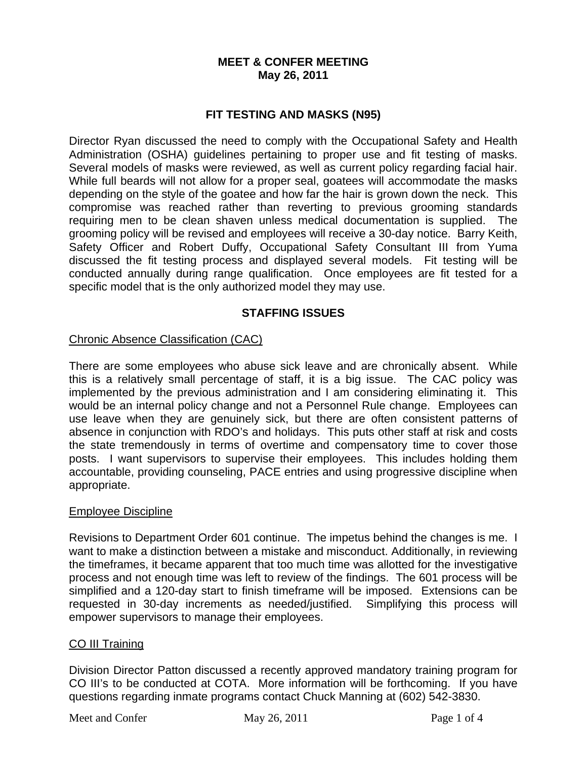### **MEET & CONFER MEETING May 26, 2011**

## **FIT TESTING AND MASKS (N95)**

Director Ryan discussed the need to comply with the Occupational Safety and Health Administration (OSHA) guidelines pertaining to proper use and fit testing of masks. Several models of masks were reviewed, as well as current policy regarding facial hair. While full beards will not allow for a proper seal, goatees will accommodate the masks depending on the style of the goatee and how far the hair is grown down the neck. This compromise was reached rather than reverting to previous grooming standards requiring men to be clean shaven unless medical documentation is supplied. The grooming policy will be revised and employees will receive a 30-day notice. Barry Keith, Safety Officer and Robert Duffy, Occupational Safety Consultant III from Yuma discussed the fit testing process and displayed several models. Fit testing will be conducted annually during range qualification. Once employees are fit tested for a specific model that is the only authorized model they may use.

## **STAFFING ISSUES**

### Chronic Absence Classification (CAC)

There are some employees who abuse sick leave and are chronically absent. While this is a relatively small percentage of staff, it is a big issue. The CAC policy was implemented by the previous administration and I am considering eliminating it. This would be an internal policy change and not a Personnel Rule change. Employees can use leave when they are genuinely sick, but there are often consistent patterns of absence in conjunction with RDO's and holidays. This puts other staff at risk and costs the state tremendously in terms of overtime and compensatory time to cover those posts. I want supervisors to supervise their employees. This includes holding them accountable, providing counseling, PACE entries and using progressive discipline when appropriate.

### Employee Discipline

Revisions to Department Order 601 continue. The impetus behind the changes is me. I want to make a distinction between a mistake and misconduct. Additionally, in reviewing the timeframes, it became apparent that too much time was allotted for the investigative process and not enough time was left to review of the findings. The 601 process will be simplified and a 120-day start to finish timeframe will be imposed. Extensions can be requested in 30-day increments as needed/justified. Simplifying this process will empower supervisors to manage their employees.

### CO III Training

Division Director Patton discussed a recently approved mandatory training program for CO III's to be conducted at COTA. More information will be forthcoming. If you have questions regarding inmate programs contact Chuck Manning at (602) 542-3830.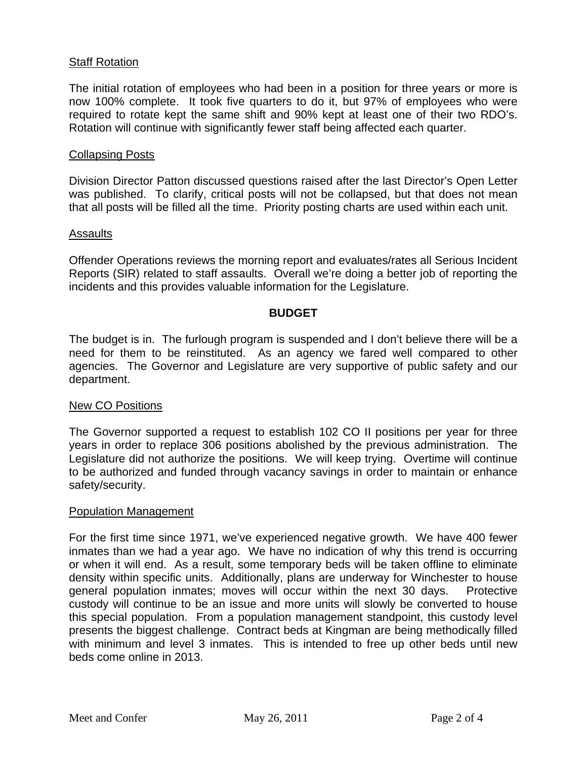### **Staff Rotation**

The initial rotation of employees who had been in a position for three years or more is now 100% complete. It took five quarters to do it, but 97% of employees who were required to rotate kept the same shift and 90% kept at least one of their two RDO's. Rotation will continue with significantly fewer staff being affected each quarter.

### Collapsing Posts

Division Director Patton discussed questions raised after the last Director's Open Letter was published. To clarify, critical posts will not be collapsed, but that does not mean that all posts will be filled all the time. Priority posting charts are used within each unit.

### Assaults

Offender Operations reviews the morning report and evaluates/rates all Serious Incident Reports (SIR) related to staff assaults. Overall we're doing a better job of reporting the incidents and this provides valuable information for the Legislature.

### **BUDGET**

The budget is in. The furlough program is suspended and I don't believe there will be a need for them to be reinstituted. As an agency we fared well compared to other agencies. The Governor and Legislature are very supportive of public safety and our department.

### New CO Positions

The Governor supported a request to establish 102 CO II positions per year for three years in order to replace 306 positions abolished by the previous administration. The Legislature did not authorize the positions. We will keep trying. Overtime will continue to be authorized and funded through vacancy savings in order to maintain or enhance safety/security.

#### Population Management

For the first time since 1971, we've experienced negative growth. We have 400 fewer inmates than we had a year ago. We have no indication of why this trend is occurring or when it will end. As a result, some temporary beds will be taken offline to eliminate density within specific units. Additionally, plans are underway for Winchester to house general population inmates; moves will occur within the next 30 days. Protective custody will continue to be an issue and more units will slowly be converted to house this special population. From a population management standpoint, this custody level presents the biggest challenge. Contract beds at Kingman are being methodically filled with minimum and level 3 inmates. This is intended to free up other beds until new beds come online in 2013.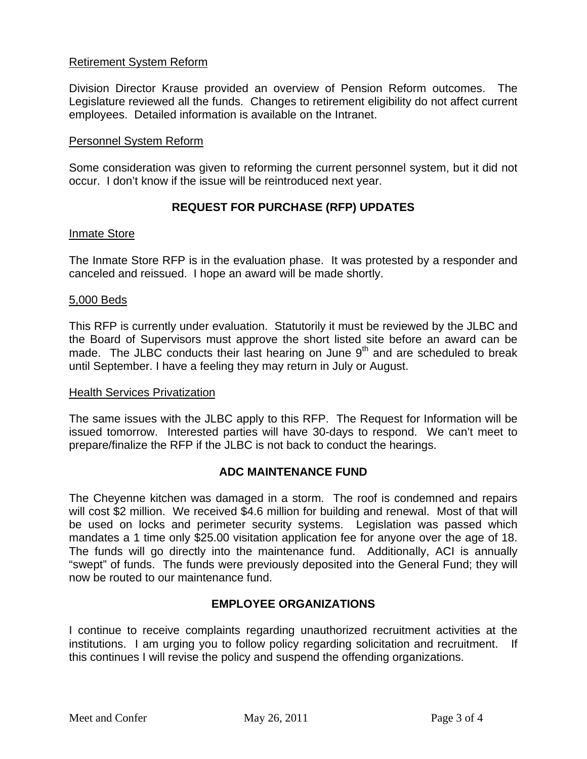## Retirement System Reform

Division Director Krause provided an overview of Pension Reform outcomes. The Legislature reviewed all the funds. Changes to retirement eligibility do not affect current employees. Detailed information is available on the Intranet.

### Personnel System Reform

Some consideration was given to reforming the current personnel system, but it did not occur. I don't know if the issue will be reintroduced next year.

# **REQUEST FOR PURCHASE (RFP) UPDATES**

### Inmate Store

The Inmate Store RFP is in the evaluation phase. It was protested by a responder and canceled and reissued. I hope an award will be made shortly.

### 5,000 Beds

This RFP is currently under evaluation. Statutorily it must be reviewed by the JLBC and the Board of Supervisors must approve the short listed site before an award can be made. The JLBC conducts their last hearing on June 9<sup>th</sup> and are scheduled to break until September. I have a feeling they may return in July or August.

### Health Services Privatization

The same issues with the JLBC apply to this RFP. The Request for Information will be issued tomorrow. Interested parties will have 30-days to respond. We can't meet to prepare/finalize the RFP if the JLBC is not back to conduct the hearings.

### **ADC MAINTENANCE FUND**

The Cheyenne kitchen was damaged in a storm. The roof is condemned and repairs will cost \$2 million. We received \$4.6 million for building and renewal. Most of that will be used on locks and perimeter security systems. Legislation was passed which mandates a 1 time only \$25.00 visitation application fee for anyone over the age of 18. The funds will go directly into the maintenance fund. Additionally, ACI is annually "swept" of funds. The funds were previously deposited into the General Fund; they will now be routed to our maintenance fund.

### **EMPLOYEE ORGANIZATIONS**

I continue to receive complaints regarding unauthorized recruitment activities at the institutions. I am urging you to follow policy regarding solicitation and recruitment. If this continues I will revise the policy and suspend the offending organizations.